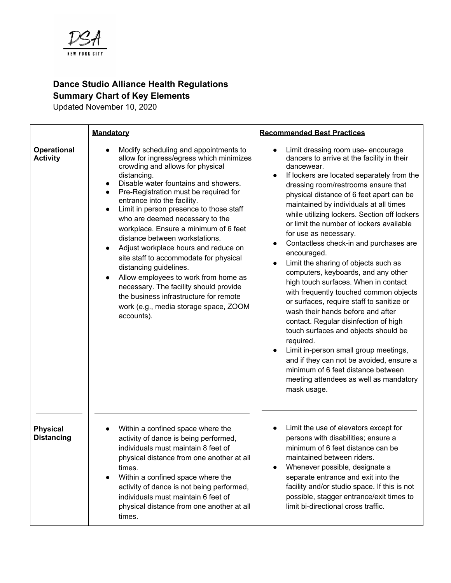

## **Dance Studio Alliance Health Regulations Summary Chart of Key Elements**

Updated November 10, 2020

|                                       | <b>Mandatory</b>                                                                                                                                                                                                                                                                                                                                                                                                                                                                                                                                                                                                                                                                                                                       | <b>Recommended Best Practices</b>                                                                                                                                                                                                                                                                                                                                                                                                                                                                                                                                                                                                                                                                                                                                                                                                                                                                                                                                                                                           |
|---------------------------------------|----------------------------------------------------------------------------------------------------------------------------------------------------------------------------------------------------------------------------------------------------------------------------------------------------------------------------------------------------------------------------------------------------------------------------------------------------------------------------------------------------------------------------------------------------------------------------------------------------------------------------------------------------------------------------------------------------------------------------------------|-----------------------------------------------------------------------------------------------------------------------------------------------------------------------------------------------------------------------------------------------------------------------------------------------------------------------------------------------------------------------------------------------------------------------------------------------------------------------------------------------------------------------------------------------------------------------------------------------------------------------------------------------------------------------------------------------------------------------------------------------------------------------------------------------------------------------------------------------------------------------------------------------------------------------------------------------------------------------------------------------------------------------------|
| <b>Operational</b><br><b>Activity</b> | Modify scheduling and appointments to<br>allow for ingress/egress which minimizes<br>crowding and allows for physical<br>distancing.<br>Disable water fountains and showers.<br>Pre-Registration must be required for<br>$\bullet$<br>entrance into the facility.<br>Limit in person presence to those staff<br>$\bullet$<br>who are deemed necessary to the<br>workplace. Ensure a minimum of 6 feet<br>distance between workstations.<br>Adjust workplace hours and reduce on<br>site staff to accommodate for physical<br>distancing guidelines.<br>Allow employees to work from home as<br>necessary. The facility should provide<br>the business infrastructure for remote<br>work (e.g., media storage space, ZOOM<br>accounts). | Limit dressing room use- encourage<br>dancers to arrive at the facility in their<br>dancewear.<br>If lockers are located separately from the<br>$\bullet$<br>dressing room/restrooms ensure that<br>physical distance of 6 feet apart can be<br>maintained by individuals at all times<br>while utilizing lockers. Section off lockers<br>or limit the number of lockers available<br>for use as necessary.<br>Contactless check-in and purchases are<br>٠<br>encouraged.<br>Limit the sharing of objects such as<br>computers, keyboards, and any other<br>high touch surfaces. When in contact<br>with frequently touched common objects<br>or surfaces, require staff to sanitize or<br>wash their hands before and after<br>contact. Regular disinfection of high<br>touch surfaces and objects should be<br>required.<br>Limit in-person small group meetings,<br>$\bullet$<br>and if they can not be avoided, ensure a<br>minimum of 6 feet distance between<br>meeting attendees as well as mandatory<br>mask usage. |
| <b>Physical</b><br><b>Distancing</b>  | Within a confined space where the<br>activity of dance is being performed,<br>individuals must maintain 8 feet of<br>physical distance from one another at all<br>times.<br>Within a confined space where the<br>$\bullet$<br>activity of dance is not being performed,<br>individuals must maintain 6 feet of<br>physical distance from one another at all<br>times.                                                                                                                                                                                                                                                                                                                                                                  | Limit the use of elevators except for<br>persons with disabilities; ensure a<br>minimum of 6 feet distance can be<br>maintained between riders.<br>Whenever possible, designate a<br>separate entrance and exit into the<br>facility and/or studio space. If this is not<br>possible, stagger entrance/exit times to<br>limit bi-directional cross traffic.                                                                                                                                                                                                                                                                                                                                                                                                                                                                                                                                                                                                                                                                 |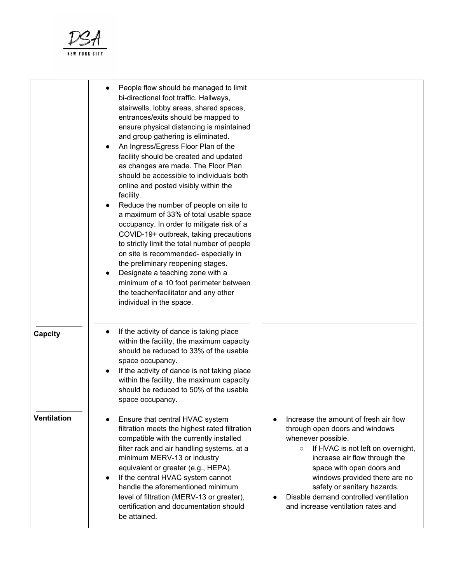

|                    | People flow should be managed to limit<br>bi-directional foot traffic. Hallways,<br>stairwells, lobby areas, shared spaces,<br>entrances/exits should be mapped to<br>ensure physical distancing is maintained<br>and group gathering is eliminated.<br>An Ingress/Egress Floor Plan of the<br>facility should be created and updated<br>as changes are made. The Floor Plan<br>should be accessible to individuals both<br>online and posted visibly within the<br>facility.<br>Reduce the number of people on site to<br>a maximum of 33% of total usable space<br>occupancy. In order to mitigate risk of a<br>COVID-19+ outbreak, taking precautions<br>to strictly limit the total number of people<br>on site is recommended-especially in<br>the preliminary reopening stages.<br>Designate a teaching zone with a<br>minimum of a 10 foot perimeter between<br>the teacher/facilitator and any other<br>individual in the space. |                                                                                                                                                                                                                                                                                                                                                            |
|--------------------|------------------------------------------------------------------------------------------------------------------------------------------------------------------------------------------------------------------------------------------------------------------------------------------------------------------------------------------------------------------------------------------------------------------------------------------------------------------------------------------------------------------------------------------------------------------------------------------------------------------------------------------------------------------------------------------------------------------------------------------------------------------------------------------------------------------------------------------------------------------------------------------------------------------------------------------|------------------------------------------------------------------------------------------------------------------------------------------------------------------------------------------------------------------------------------------------------------------------------------------------------------------------------------------------------------|
| <b>Capcity</b>     | If the activity of dance is taking place<br>within the facility, the maximum capacity<br>should be reduced to 33% of the usable<br>space occupancy.<br>If the activity of dance is not taking place<br>within the facility, the maximum capacity<br>should be reduced to 50% of the usable<br>space occupancy.                                                                                                                                                                                                                                                                                                                                                                                                                                                                                                                                                                                                                           |                                                                                                                                                                                                                                                                                                                                                            |
| <b>Ventilation</b> | Ensure that central HVAC system<br>filtration meets the highest rated filtration<br>compatible with the currently installed<br>filter rack and air handling systems, at a<br>minimum MERV-13 or industry<br>equivalent or greater (e.g., HEPA).<br>If the central HVAC system cannot<br>handle the aforementioned minimum<br>level of filtration (MERV-13 or greater),<br>certification and documentation should<br>be attained.                                                                                                                                                                                                                                                                                                                                                                                                                                                                                                         | Increase the amount of fresh air flow<br>through open doors and windows<br>whenever possible.<br>If HVAC is not left on overnight,<br>$\circ$<br>increase air flow through the<br>space with open doors and<br>windows provided there are no<br>safety or sanitary hazards.<br>Disable demand controlled ventilation<br>and increase ventilation rates and |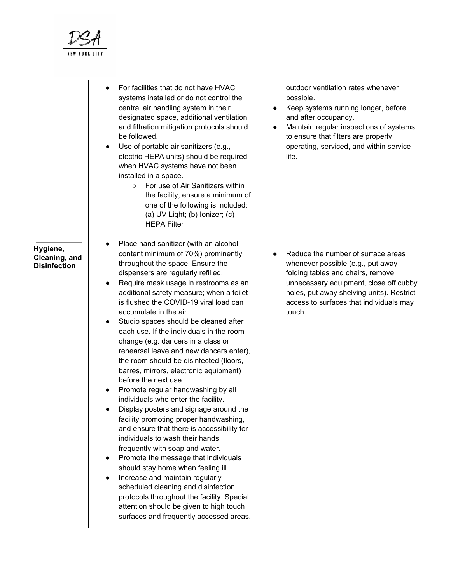

|                                                  | For facilities that do not have HVAC<br>$\bullet$<br>systems installed or do not control the<br>central air handling system in their<br>designated space, additional ventilation<br>and filtration mitigation protocols should<br>be followed.<br>Use of portable air sanitizers (e.g.,<br>electric HEPA units) should be required<br>when HVAC systems have not been<br>installed in a space.<br>For use of Air Sanitizers within<br>$\circ$<br>the facility, ensure a minimum of<br>one of the following is included:<br>(a) UV Light; (b) Ionizer; $(c)$<br><b>HEPA Filter</b>                                                                                                                                                                                                                                                                                                                                                                                                                                                                                                                                                                                                                     | outdoor ventilation rates whenever<br>possible.<br>Keep systems running longer, before<br>and after occupancy.<br>Maintain regular inspections of systems<br>to ensure that filters are properly<br>operating, serviced, and within service<br>life.     |
|--------------------------------------------------|-------------------------------------------------------------------------------------------------------------------------------------------------------------------------------------------------------------------------------------------------------------------------------------------------------------------------------------------------------------------------------------------------------------------------------------------------------------------------------------------------------------------------------------------------------------------------------------------------------------------------------------------------------------------------------------------------------------------------------------------------------------------------------------------------------------------------------------------------------------------------------------------------------------------------------------------------------------------------------------------------------------------------------------------------------------------------------------------------------------------------------------------------------------------------------------------------------|----------------------------------------------------------------------------------------------------------------------------------------------------------------------------------------------------------------------------------------------------------|
| Hygiene,<br>Cleaning, and<br><b>Disinfection</b> | Place hand sanitizer (with an alcohol<br>content minimum of 70%) prominently<br>throughout the space. Ensure the<br>dispensers are regularly refilled.<br>Require mask usage in restrooms as an<br>additional safety measure; when a toilet<br>is flushed the COVID-19 viral load can<br>accumulate in the air.<br>Studio spaces should be cleaned after<br>٠<br>each use. If the individuals in the room<br>change (e.g. dancers in a class or<br>rehearsal leave and new dancers enter),<br>the room should be disinfected (floors,<br>barres, mirrors, electronic equipment)<br>before the next use.<br>Promote regular handwashing by all<br>individuals who enter the facility.<br>Display posters and signage around the<br>facility promoting proper handwashing,<br>and ensure that there is accessibility for<br>individuals to wash their hands<br>frequently with soap and water.<br>Promote the message that individuals<br>$\bullet$<br>should stay home when feeling ill.<br>Increase and maintain regularly<br>scheduled cleaning and disinfection<br>protocols throughout the facility. Special<br>attention should be given to high touch<br>surfaces and frequently accessed areas. | Reduce the number of surface areas<br>whenever possible (e.g., put away<br>folding tables and chairs, remove<br>unnecessary equipment, close off cubby<br>holes, put away shelving units). Restrict<br>access to surfaces that individuals may<br>touch. |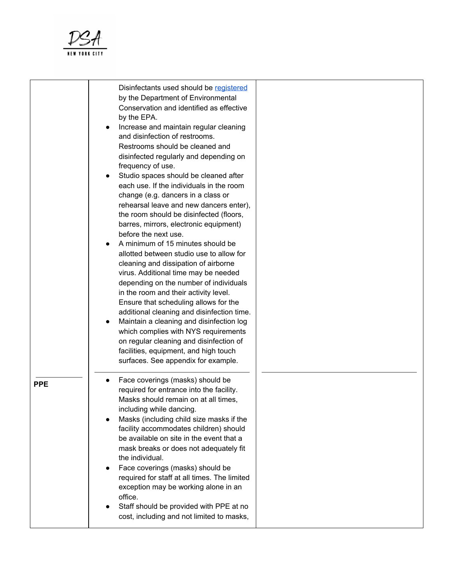

|            | Disinfectants used should be registered<br>by the Department of Environmental<br>Conservation and identified as effective<br>by the EPA.<br>Increase and maintain regular cleaning<br>and disinfection of restrooms.<br>Restrooms should be cleaned and<br>disinfected regularly and depending on<br>frequency of use.<br>Studio spaces should be cleaned after<br>each use. If the individuals in the room<br>change (e.g. dancers in a class or<br>rehearsal leave and new dancers enter),<br>the room should be disinfected (floors,<br>barres, mirrors, electronic equipment)<br>before the next use.<br>A minimum of 15 minutes should be<br>allotted between studio use to allow for<br>cleaning and dissipation of airborne<br>virus. Additional time may be needed<br>depending on the number of individuals<br>in the room and their activity level.<br>Ensure that scheduling allows for the<br>additional cleaning and disinfection time.<br>Maintain a cleaning and disinfection log<br>which complies with NYS requirements<br>on regular cleaning and disinfection of<br>facilities, equipment, and high touch<br>surfaces. See appendix for example. |  |
|------------|---------------------------------------------------------------------------------------------------------------------------------------------------------------------------------------------------------------------------------------------------------------------------------------------------------------------------------------------------------------------------------------------------------------------------------------------------------------------------------------------------------------------------------------------------------------------------------------------------------------------------------------------------------------------------------------------------------------------------------------------------------------------------------------------------------------------------------------------------------------------------------------------------------------------------------------------------------------------------------------------------------------------------------------------------------------------------------------------------------------------------------------------------------------------|--|
| <b>PPE</b> | Face coverings (masks) should be<br>required for entrance into the facility.<br>Masks should remain on at all times,<br>including while dancing.<br>Masks (including child size masks if the<br>facility accommodates children) should<br>be available on site in the event that a<br>mask breaks or does not adequately fit<br>the individual.<br>Face coverings (masks) should be<br>required for staff at all times. The limited<br>exception may be working alone in an<br>office.<br>Staff should be provided with PPE at no<br>cost, including and not limited to masks,                                                                                                                                                                                                                                                                                                                                                                                                                                                                                                                                                                                      |  |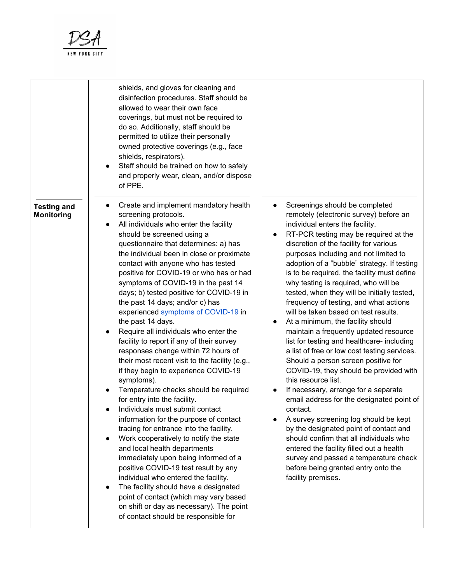

|                                         | shields, and gloves for cleaning and<br>disinfection procedures. Staff should be<br>allowed to wear their own face<br>coverings, but must not be required to<br>do so. Additionally, staff should be<br>permitted to utilize their personally<br>owned protective coverings (e.g., face<br>shields, respirators).<br>Staff should be trained on how to safely<br>and properly wear, clean, and/or dispose<br>of PPE.                                                                                                                                                                                                                                                                                                                                                                                                                                                                                                                                                                                                                                                                                                                                                                                                                                                                                          |                                                                                                                                                                                                                                                                                                                                                                                                                                                                                                                                                                                                                                                                                                                                                                                                                                                                                                                                                                                                                                                                                                                                                                                                                |
|-----------------------------------------|---------------------------------------------------------------------------------------------------------------------------------------------------------------------------------------------------------------------------------------------------------------------------------------------------------------------------------------------------------------------------------------------------------------------------------------------------------------------------------------------------------------------------------------------------------------------------------------------------------------------------------------------------------------------------------------------------------------------------------------------------------------------------------------------------------------------------------------------------------------------------------------------------------------------------------------------------------------------------------------------------------------------------------------------------------------------------------------------------------------------------------------------------------------------------------------------------------------------------------------------------------------------------------------------------------------|----------------------------------------------------------------------------------------------------------------------------------------------------------------------------------------------------------------------------------------------------------------------------------------------------------------------------------------------------------------------------------------------------------------------------------------------------------------------------------------------------------------------------------------------------------------------------------------------------------------------------------------------------------------------------------------------------------------------------------------------------------------------------------------------------------------------------------------------------------------------------------------------------------------------------------------------------------------------------------------------------------------------------------------------------------------------------------------------------------------------------------------------------------------------------------------------------------------|
| <b>Testing and</b><br><b>Monitoring</b> | Create and implement mandatory health<br>screening protocols.<br>All individuals who enter the facility<br>should be screened using a<br>questionnaire that determines: a) has<br>the individual been in close or proximate<br>contact with anyone who has tested<br>positive for COVID-19 or who has or had<br>symptoms of COVID-19 in the past 14<br>days; b) tested positive for COVID-19 in<br>the past 14 days; and/or c) has<br>experienced symptoms of COVID-19 in<br>the past 14 days.<br>Require all individuals who enter the<br>facility to report if any of their survey<br>responses change within 72 hours of<br>their most recent visit to the facility (e.g.,<br>if they begin to experience COVID-19<br>symptoms).<br>Temperature checks should be required<br>for entry into the facility.<br>Individuals must submit contact<br>information for the purpose of contact<br>tracing for entrance into the facility.<br>Work cooperatively to notify the state<br>and local health departments<br>immediately upon being informed of a<br>positive COVID-19 test result by any<br>individual who entered the facility.<br>The facility should have a designated<br>point of contact (which may vary based<br>on shift or day as necessary). The point<br>of contact should be responsible for | Screenings should be completed<br>remotely (electronic survey) before an<br>individual enters the facility.<br>RT-PCR testing may be required at the<br>$\bullet$<br>discretion of the facility for various<br>purposes including and not limited to<br>adoption of a "bubble" strategy. If testing<br>is to be required, the facility must define<br>why testing is required, who will be<br>tested, when they will be initially tested,<br>frequency of testing, and what actions<br>will be taken based on test results.<br>At a minimum, the facility should<br>$\bullet$<br>maintain a frequently updated resource<br>list for testing and healthcare- including<br>a list of free or low cost testing services.<br>Should a person screen positive for<br>COVID-19, they should be provided with<br>this resource list.<br>If necessary, arrange for a separate<br>email address for the designated point of<br>contact.<br>A survey screening log should be kept<br>by the designated point of contact and<br>should confirm that all individuals who<br>entered the facility filled out a health<br>survey and passed a temperature check<br>before being granted entry onto the<br>facility premises. |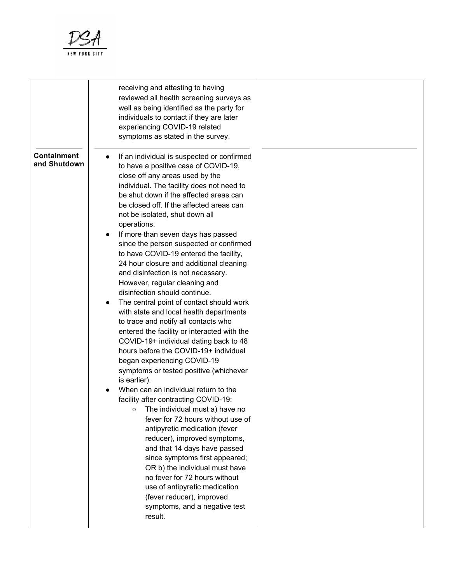

|                                    | receiving and attesting to having<br>reviewed all health screening surveys as<br>well as being identified as the party for<br>individuals to contact if they are later<br>experiencing COVID-19 related<br>symptoms as stated in the survey.                                                                                                                                                                                                                                                                                                                                                                                                                                                                                                                                                                                                                                                                                                                                                                                                                                                                                                                                                                                                                                                                                                                                                                                     |  |
|------------------------------------|----------------------------------------------------------------------------------------------------------------------------------------------------------------------------------------------------------------------------------------------------------------------------------------------------------------------------------------------------------------------------------------------------------------------------------------------------------------------------------------------------------------------------------------------------------------------------------------------------------------------------------------------------------------------------------------------------------------------------------------------------------------------------------------------------------------------------------------------------------------------------------------------------------------------------------------------------------------------------------------------------------------------------------------------------------------------------------------------------------------------------------------------------------------------------------------------------------------------------------------------------------------------------------------------------------------------------------------------------------------------------------------------------------------------------------|--|
| <b>Containment</b><br>and Shutdown | If an individual is suspected or confirmed<br>to have a positive case of COVID-19,<br>close off any areas used by the<br>individual. The facility does not need to<br>be shut down if the affected areas can<br>be closed off. If the affected areas can<br>not be isolated, shut down all<br>operations.<br>If more than seven days has passed<br>since the person suspected or confirmed<br>to have COVID-19 entered the facility,<br>24 hour closure and additional cleaning<br>and disinfection is not necessary.<br>However, regular cleaning and<br>disinfection should continue.<br>The central point of contact should work<br>with state and local health departments<br>to trace and notify all contacts who<br>entered the facility or interacted with the<br>COVID-19+ individual dating back to 48<br>hours before the COVID-19+ individual<br>began experiencing COVID-19<br>symptoms or tested positive (whichever<br>is earlier).<br>When can an individual return to the<br>facility after contracting COVID-19:<br>$\circ$ The individual must a) have no<br>fever for 72 hours without use of<br>antipyretic medication (fever<br>reducer), improved symptoms,<br>and that 14 days have passed<br>since symptoms first appeared;<br>OR b) the individual must have<br>no fever for 72 hours without<br>use of antipyretic medication<br>(fever reducer), improved<br>symptoms, and a negative test<br>result. |  |